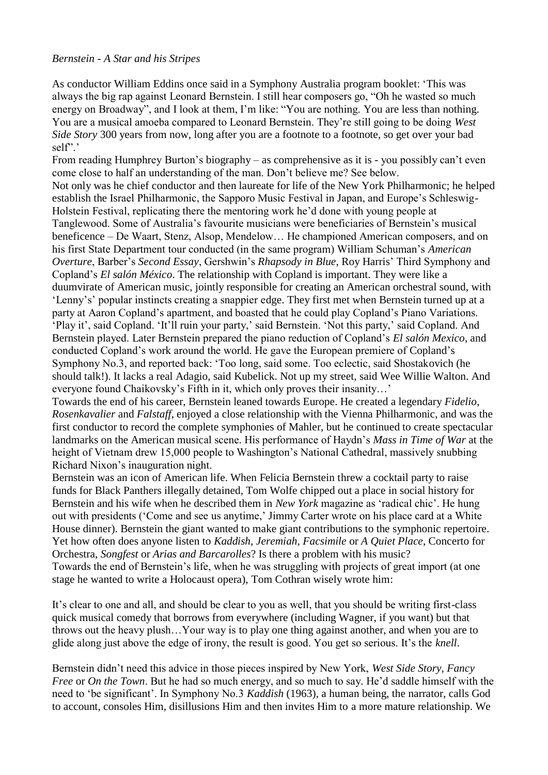## *Bernstein - A Star and his Stripes*

As conductor William Eddins once said in a Symphony Australia program booklet: "This was always the big rap against Leonard Bernstein. I still hear composers go, "Oh he wasted so much energy on Broadway", and I look at them, I'm like: "You are nothing. You are less than nothing. You are a musical amoeba compared to Leonard Bernstein. They"re still going to be doing *West Side Story* 300 years from now, long after you are a footnote to a footnote, so get over your bad self"'

From reading Humphrey Burton's biography – as comprehensive as it is - you possibly can't even come close to half an understanding of the man. Don"t believe me? See below.

Not only was he chief conductor and then laureate for life of the New York Philharmonic; he helped establish the Israel Philharmonic, the Sapporo Music Festival in Japan, and Europe"s Schleswig-Holstein Festival, replicating there the mentoring work he"d done with young people at Tanglewood. Some of Australia"s favourite musicians were beneficiaries of Bernstein"s musical beneficence – De Waart, Stenz, Alsop, Mendelow… He championed American composers, and on his first State Department tour conducted (in the same program) William Schuman"s *American Overture*, Barber"s *Second Essay*, Gershwin"s *Rhapsody in Blue*, Roy Harris" Third Symphony and Copland"s *El salón México*. The relationship with Copland is important. They were like a duumvirate of American music, jointly responsible for creating an American orchestral sound, with "Lenny"s" popular instincts creating a snappier edge. They first met when Bernstein turned up at a party at Aaron Copland"s apartment, and boasted that he could play Copland"s Piano Variations. 'Play it', said Copland. 'It'll ruin your party,' said Bernstein. 'Not this party,' said Copland. And Bernstein played. Later Bernstein prepared the piano reduction of Copland"s *El salón Mexico*, and conducted Copland"s work around the world. He gave the European premiere of Copland"s Symphony No.3, and reported back: "Too long, said some. Too eclectic, said Shostakovich (he should talk!). It lacks a real Adagio, said Kubelick. Not up my street, said Wee Willie Walton. And everyone found Chaikovsky's Fifth in it, which only proves their insanity...'

Towards the end of his career, Bernstein leaned towards Europe. He created a legendary *Fidelio*, *Rosenkavalier* and *Falstaff*, enjoyed a close relationship with the Vienna Philharmonic, and was the first conductor to record the complete symphonies of Mahler, but he continued to create spectacular landmarks on the American musical scene. His performance of Haydn"s *Mass in Time of War* at the height of Vietnam drew 15,000 people to Washington"s National Cathedral, massively snubbing Richard Nixon"s inauguration night.

Bernstein was an icon of American life. When Felicia Bernstein threw a cocktail party to raise funds for Black Panthers illegally detained, Tom Wolfe chipped out a place in social history for Bernstein and his wife when he described them in *New York* magazine as "radical chic". He hung out with presidents ('Come and see us anytime,' Jimmy Carter wrote on his place card at a White House dinner). Bernstein the giant wanted to make giant contributions to the symphonic repertoire. Yet how often does anyone listen to *Kaddish, Jeremiah*, *Facsimile* or *A Quiet Place*, Concerto for Orchestra, *Songfest* or *Arias and Barcarolles*? Is there a problem with his music? Towards the end of Bernstein"s life, when he was struggling with projects of great import (at one stage he wanted to write a Holocaust opera), Tom Cothran wisely wrote him:

It's clear to one and all, and should be clear to you as well, that you should be writing first-class quick musical comedy that borrows from everywhere (including Wagner, if you want) but that throws out the heavy plush…Your way is to play one thing against another, and when you are to glide along just above the edge of irony, the result is good. You get so serious. It's the *knell*.

Bernstein didn"t need this advice in those pieces inspired by New York, *West Side Story, Fancy Free* or *On the Town*. But he had so much energy, and so much to say. He'd saddle himself with the need to "be significant". In Symphony No.3 *Kaddish* (1963), a human being, the narrator, calls God to account, consoles Him, disillusions Him and then invites Him to a more mature relationship. We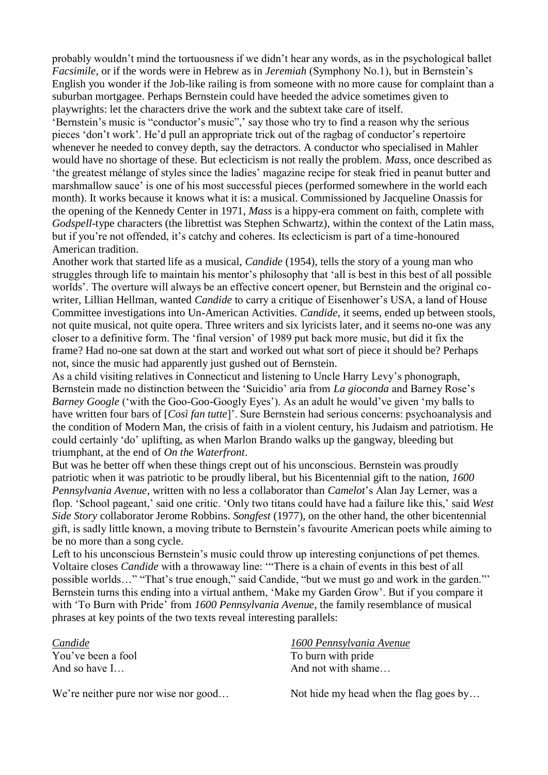probably wouldn"t mind the tortuousness if we didn"t hear any words, as in the psychological ballet *Facsimile,* or if the words were in Hebrew as in *Jeremiah* (Symphony No.1), but in Bernstein"s English you wonder if the Job-like railing is from someone with no more cause for complaint than a suburban mortgagee. Perhaps Bernstein could have heeded the advice sometimes given to playwrights: let the characters drive the work and the subtext take care of itself.

"Bernstein's music is "conductor's music"," say those who try to find a reason why the serious pieces "don"t work". He"d pull an appropriate trick out of the ragbag of conductor"s repertoire whenever he needed to convey depth, say the detractors. A conductor who specialised in Mahler would have no shortage of these. But eclecticism is not really the problem. *Mass*, once described as "the greatest mélange of styles since the ladies" magazine recipe for steak fried in peanut butter and marshmallow sauce" is one of his most successful pieces (performed somewhere in the world each month). It works because it knows what it is: a musical. Commissioned by Jacqueline Onassis for the opening of the Kennedy Center in 1971, *Mass* is a hippy-era comment on faith, complete with *Godspell*-type characters (the librettist was Stephen Schwartz), within the context of the Latin mass, but if you're not offended, it's catchy and coheres. Its eclecticism is part of a time-honoured American tradition.

Another work that started life as a musical, *Candide* (1954), tells the story of a young man who struggles through life to maintain his mentor's philosophy that 'all is best in this best of all possible worlds". The overture will always be an effective concert opener, but Bernstein and the original cowriter, Lillian Hellman, wanted *Candide* to carry a critique of Eisenhower"s USA, a land of House Committee investigations into Un-American Activities. *Candide,* it seems, ended up between stools, not quite musical, not quite opera. Three writers and six lyricists later, and it seems no-one was any closer to a definitive form. The "final version" of 1989 put back more music, but did it fix the frame? Had no-one sat down at the start and worked out what sort of piece it should be? Perhaps not, since the music had apparently just gushed out of Bernstein.

As a child visiting relatives in Connecticut and listening to Uncle Harry Levy"s phonograph, Bernstein made no distinction between the "Suicidio" aria from *La gioconda* and Barney Rose"s *Barney Google* ('with the Goo-Goo-Googly Eyes'). As an adult he would've given 'my balls to have written four bars of [*Così fan tutte*]". Sure Bernstein had serious concerns: psychoanalysis and the condition of Modern Man, the crisis of faith in a violent century, his Judaism and patriotism. He could certainly "do" uplifting, as when Marlon Brando walks up the gangway, bleeding but triumphant, at the end of *On the Waterfront*.

But was he better off when these things crept out of his unconscious. Bernstein was proudly patriotic when it was patriotic to be proudly liberal, but his Bicentennial gift to the nation, *1600 Pennsylvania Avenue*, written with no less a collaborator than *Camelot*"s Alan Jay Lerner, was a flop. 'School pageant,' said one critic. 'Only two titans could have had a failure like this,' said West *Side Story* collaborator Jerome Robbins. *Songfest* (1977), on the other hand, the other bicentennial gift, is sadly little known, a moving tribute to Bernstein"s favourite American poets while aiming to be no more than a song cycle.

Left to his unconscious Bernstein's music could throw up interesting conjunctions of pet themes. Voltaire closes *Candide* with a throwaway line: ""There is a chain of events in this best of all possible worlds…" "That"s true enough," said Candide, "but we must go and work in the garden."" Bernstein turns this ending into a virtual anthem, "Make my Garden Grow". But if you compare it with "To Burn with Pride" from *1600 Pennsylvania Avenue*, the family resemblance of musical phrases at key points of the two texts reveal interesting parallels:

*Candide* You"ve been a fool

And so have I…

We're neither pure nor wise nor good...

*1600 Pennsylvania Avenue* To burn with pride And not with shame…

Not hide my head when the flag goes by…